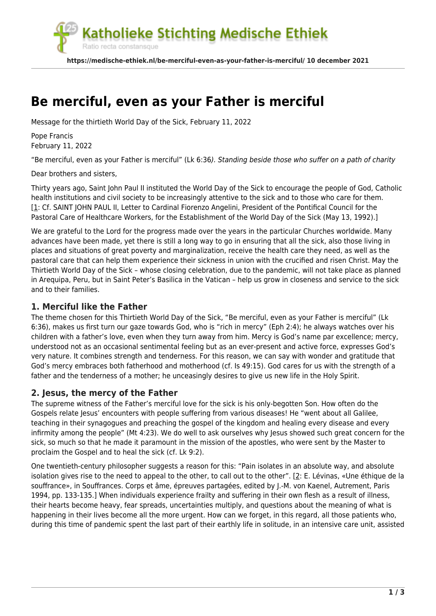

# **[Be merciful, even as your Father is merciful](https://medische-ethiek.nl/be-merciful-even-as-your-father-is-merciful/)**

Message for the thirtieth World Day of the Sick, February 11, 2022

Pope Francis February 11, 2022

"Be merciful, even as your Father is merciful" (Lk 6:36). Standing beside those who suffer on a path of charity

Dear brothers and sisters,

Thirty years ago, Saint John Paul II instituted the World Day of the Sick to encourage the people of God, Catholic health institutions and civil society to be increasingly attentive to the sick and to those who care for them. [\[1:](#page--1-0) Cf. SAINT JOHN PAUL II, Letter to Cardinal Fiorenzo Angelini, President of the Pontifical Council for the Pastoral Care of Healthcare Workers, for the Establishment of the World Day of the Sick (May 13, 1992).]

We are grateful to the Lord for the progress made over the years in the particular Churches worldwide. Many advances have been made, yet there is still a long way to go in ensuring that all the sick, also those living in places and situations of great poverty and marginalization, receive the health care they need, as well as the pastoral care that can help them experience their sickness in union with the crucified and risen Christ. May the Thirtieth World Day of the Sick – whose closing celebration, due to the pandemic, will not take place as planned in Arequipa, Peru, but in Saint Peter's Basilica in the Vatican – help us grow in closeness and service to the sick and to their families.

#### **1. Merciful like the Father**

The theme chosen for this Thirtieth World Day of the Sick, "Be merciful, even as your Father is merciful" (Lk 6:36), makes us first turn our gaze towards God, who is "rich in mercy" (Eph 2:4); he always watches over his children with a father's love, even when they turn away from him. Mercy is God's name par excellence; mercy, understood not as an occasional sentimental feeling but as an ever-present and active force, expresses God's very nature. It combines strength and tenderness. For this reason, we can say with wonder and gratitude that God's mercy embraces both fatherhood and motherhood (cf. Is 49:15). God cares for us with the strength of a father and the tenderness of a mother; he unceasingly desires to give us new life in the Holy Spirit.

#### **2. Jesus, the mercy of the Father**

The supreme witness of the Father's merciful love for the sick is his only-begotten Son. How often do the Gospels relate Jesus' encounters with people suffering from various diseases! He "went about all Galilee, teaching in their synagogues and preaching the gospel of the kingdom and healing every disease and every infirmity among the people" (Mt 4:23). We do well to ask ourselves why Jesus showed such great concern for the sick, so much so that he made it paramount in the mission of the apostles, who were sent by the Master to proclaim the Gospel and to heal the sick (cf. Lk 9:2).

One twentieth-century philosopher suggests a reason for this: "Pain isolates in an absolute way, and absolute isolation gives rise to the need to appeal to the other, to call out to the other". [[2](#page--1-0): E. Lévinas, «Une éthique de la souffrance», in Souffrances. Corps et âme, épreuves partagées, edited by J.-M. von Kaenel, Autrement, Paris 1994, pp. 133-135.] When individuals experience frailty and suffering in their own flesh as a result of illness, their hearts become heavy, fear spreads, uncertainties multiply, and questions about the meaning of what is happening in their lives become all the more urgent. How can we forget, in this regard, all those patients who, during this time of pandemic spent the last part of their earthly life in solitude, in an intensive care unit, assisted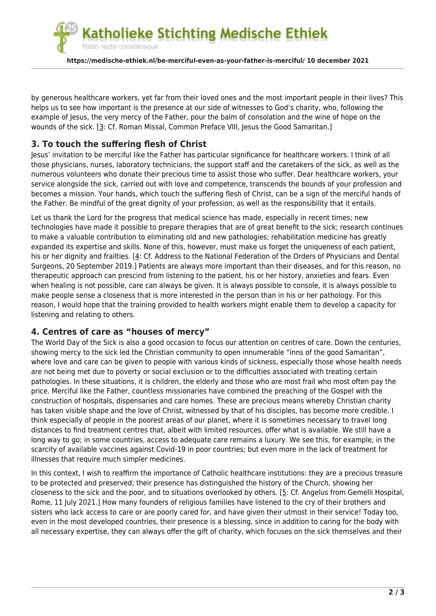atholieke Stichting Medische Ethiek Ratio recta constansque **https://medische-ethiek.nl/be-merciful-even-as-your-father-is-merciful/ 10 december 2021**

by generous healthcare workers, yet far from their loved ones and the most important people in their lives? This helps us to see how important is the presence at our side of witnesses to God's charity, who, following the example of Jesus, the very mercy of the Father, pour the balm of consolation and the wine of hope on the wounds of the sick. [[3](#page--1-0): Cf. Roman Missal, Common Preface VIII, Jesus the Good Samaritan.]

## **3. To touch the suffering flesh of Christ**

Jesus' invitation to be merciful like the Father has particular significance for healthcare workers. I think of all those physicians, nurses, laboratory technicians, the support staff and the caretakers of the sick, as well as the numerous volunteers who donate their precious time to assist those who suffer. Dear healthcare workers, your service alongside the sick, carried out with love and competence, transcends the bounds of your profession and becomes a mission. Your hands, which touch the suffering flesh of Christ, can be a sign of the merciful hands of the Father. Be mindful of the great dignity of your profession, as well as the responsibility that it entails.

Let us thank the Lord for the progress that medical science has made, especially in recent times; new technologies have made it possible to prepare therapies that are of great benefit to the sick; research continues to make a valuable contribution to eliminating old and new pathologies; rehabilitation medicine has greatly expanded its expertise and skills. None of this, however, must make us forget the uniqueness of each patient, his or her dignity and frailties. [[4](#page--1-0): Cf. Address to the National Federation of the Orders of Physicians and Dental Surgeons, 20 September 2019.] Patients are always more important than their diseases, and for this reason, no therapeutic approach can prescind from listening to the patient, his or her history, anxieties and fears. Even when healing is not possible, care can always be given. It is always possible to console, it is always possible to make people sense a closeness that is more interested in the person than in his or her pathology. For this reason, I would hope that the training provided to health workers might enable them to develop a capacity for listening and relating to others.

### **4. Centres of care as "houses of mercy"**

The World Day of the Sick is also a good occasion to focus our attention on centres of care. Down the centuries, showing mercy to the sick led the Christian community to open innumerable "inns of the good Samaritan", where love and care can be given to people with various kinds of sickness, especially those whose health needs are not being met due to poverty or social exclusion or to the difficulties associated with treating certain pathologies. In these situations, it is children, the elderly and those who are most frail who most often pay the price. Merciful like the Father, countless missionaries have combined the preaching of the Gospel with the construction of hospitals, dispensaries and care homes. These are precious means whereby Christian charity has taken visible shape and the love of Christ, witnessed by that of his disciples, has become more credible. I think especially of people in the poorest areas of our planet, where it is sometimes necessary to travel long distances to find treatment centres that, albeit with limited resources, offer what is available. We still have a long way to go; in some countries, access to adequate care remains a luxury. We see this, for example, in the scarcity of available vaccines against Covid-19 in poor countries; but even more in the lack of treatment for illnesses that require much simpler medicines.

In this context, I wish to reaffirm the importance of Catholic healthcare institutions: they are a precious treasure to be protected and preserved; their presence has distinguished the history of the Church, showing her closeness to the sick and the poor, and to situations overlooked by others. [\[5](#page--1-0): Cf. Angelus from Gemelli Hospital, Rome, 11 July 2021.] How many founders of religious families have listened to the cry of their brothers and sisters who lack access to care or are poorly cared for, and have given their utmost in their service! Today too, even in the most developed countries, their presence is a blessing, since in addition to caring for the body with all necessary expertise, they can always offer the gift of charity, which focuses on the sick themselves and their